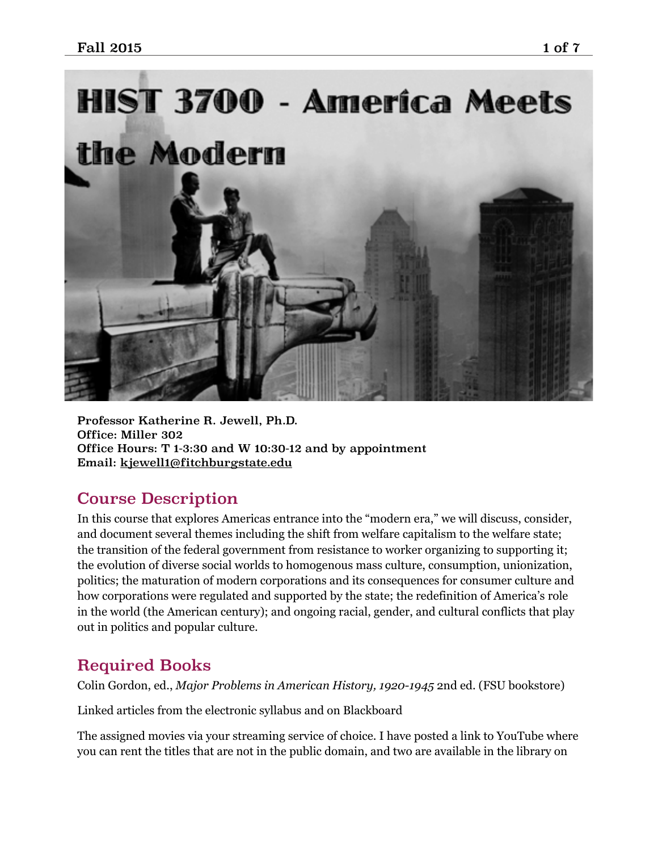

Professor Katherine R. Jewell, Ph.D. Office: Miller 302 Office Hours: T 1-3:30 and W 10:30-12 and by appointment Email: [kjewell1@fitchburgstate.edu](mailto:kjewell1@fitchburgstate.edu)

## Course Description

In this course that explores Americas entrance into the "modern era," we will discuss, consider, and document several themes including the shift from welfare capitalism to the welfare state; the transition of the federal government from resistance to worker organizing to supporting it; the evolution of diverse social worlds to homogenous mass culture, consumption, unionization, politics; the maturation of modern corporations and its consequences for consumer culture and how corporations were regulated and supported by the state; the redefinition of America's role in the world (the American century); and ongoing racial, gender, and cultural conflicts that play out in politics and popular culture.

# Required Books

Colin Gordon, ed., *Major Problems in American History, 1920-1945* 2nd ed. (FSU bookstore)

Linked articles from the electronic syllabus and on Blackboard

The assigned movies via your streaming service of choice. I have posted a link to YouTube where you can rent the titles that are not in the public domain, and two are available in the library on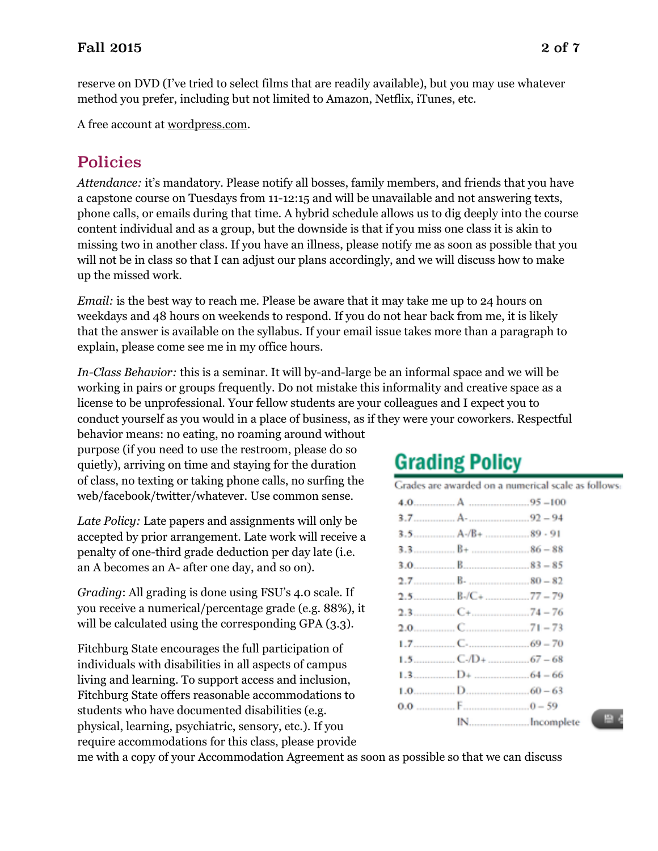reserve on DVD (I've tried to select films that are readily available), but you may use whatever method you prefer, including but not limited to Amazon, Netflix, iTunes, etc.

A free account at [wordpress.com](http://wordpress.com).

# Policies

*Attendance:* it's mandatory. Please notify all bosses, family members, and friends that you have a capstone course on Tuesdays from 11-12:15 and will be unavailable and not answering texts, phone calls, or emails during that time. A hybrid schedule allows us to dig deeply into the course content individual and as a group, but the downside is that if you miss one class it is akin to missing two in another class. If you have an illness, please notify me as soon as possible that you will not be in class so that I can adjust our plans accordingly, and we will discuss how to make up the missed work.

*Email:* is the best way to reach me. Please be aware that it may take me up to 24 hours on weekdays and 48 hours on weekends to respond. If you do not hear back from me, it is likely that the answer is available on the syllabus. If your email issue takes more than a paragraph to explain, please come see me in my office hours.

*In-Class Behavior:* this is a seminar. It will by-and-large be an informal space and we will be working in pairs or groups frequently. Do not mistake this informality and creative space as a license to be unprofessional. Your fellow students are your colleagues and I expect you to conduct yourself as you would in a place of business, as if they were your coworkers. Respectful

behavior means: no eating, no roaming around without purpose (if you need to use the restroom, please do so quietly), arriving on time and staying for the duration of class, no texting or taking phone calls, no surfing the web/facebook/twitter/whatever. Use common sense.

*Late Policy:* Late papers and assignments will only be accepted by prior arrangement. Late work will receive a penalty of one-third grade deduction per day late (i.e. an A becomes an A- after one day, and so on).

*Grading*: All grading is done using FSU's 4.0 scale. If you receive a numerical/percentage grade (e.g. 88%), it will be calculated using the corresponding GPA (3.3).

Fitchburg State encourages the full participation of individuals with disabilities in all aspects of campus living and learning. To support access and inclusion, Fitchburg State offers reasonable accommodations to students who have documented disabilities (e.g. physical, learning, psychiatric, sensory, etc.). If you require accommodations for this class, please provide

# **Grading Policy**

| Grades are awarded on a numerical scale as follows: |  |  |  |  |
|-----------------------------------------------------|--|--|--|--|
|                                                     |  |  |  |  |
|                                                     |  |  |  |  |
|                                                     |  |  |  |  |

| IN Incomple |  |
|-------------|--|

me with a copy of your Accommodation Agreement as soon as possible so that we can discuss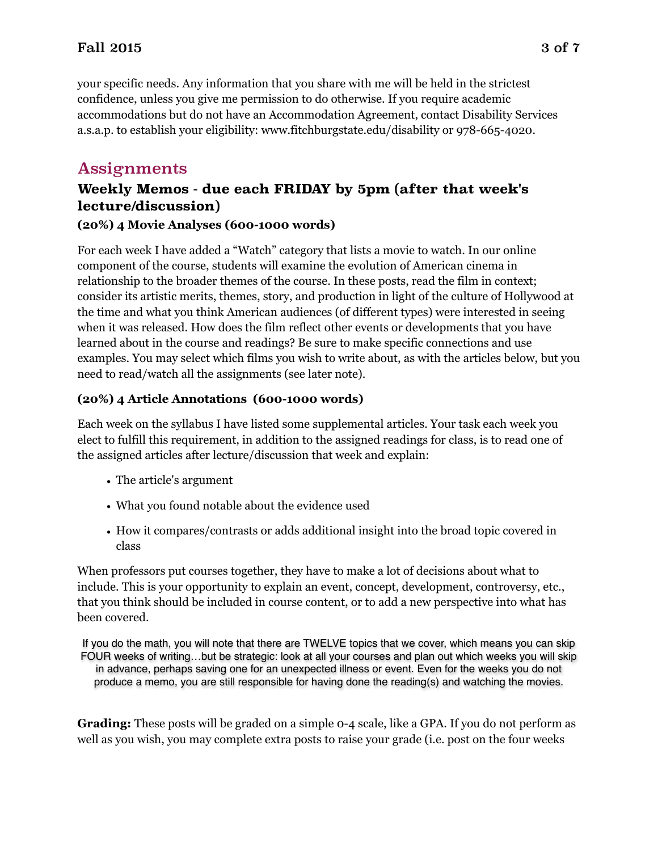## Fall 2015 3 of 7

your specific needs. Any information that you share with me will be held in the strictest confidence, unless you give me permission to do otherwise. If you require academic accommodations but do not have an Accommodation Agreement, contact Disability Services a.s.a.p. to establish your eligibility: www.fitchburgstate.edu/disability or 978-665-4020.

## Assignments

## **Weekly Memos - due each FRIDAY by 5pm (after that week's lecture/discussion)**

#### **(20%) 4 Movie Analyses (600-1000 words)**

For each week I have added a "Watch" category that lists a movie to watch. In our online component of the course, students will examine the evolution of American cinema in relationship to the broader themes of the course. In these posts, read the film in context; consider its artistic merits, themes, story, and production in light of the culture of Hollywood at the time and what you think American audiences (of different types) were interested in seeing when it was released. How does the film reflect other events or developments that you have learned about in the course and readings? Be sure to make specific connections and use examples. You may select which films you wish to write about, as with the articles below, but you need to read/watch all the assignments (see later note).

#### **(20%) 4 Article Annotations (600-1000 words)**

Each week on the syllabus I have listed some supplemental articles. Your task each week you elect to fulfill this requirement, in addition to the assigned readings for class, is to read one of the assigned articles after lecture/discussion that week and explain:

- The article's argument
- What you found notable about the evidence used
- How it compares/contrasts or adds additional insight into the broad topic covered in class

When professors put courses together, they have to make a lot of decisions about what to include. This is your opportunity to explain an event, concept, development, controversy, etc., that you think should be included in course content, or to add a new perspective into what has been covered.

If you do the math, you will note that there are TWELVE topics that we cover, which means you can skip FOUR weeks of writing…but be strategic: look at all your courses and plan out which weeks you will skip in advance, perhaps saving one for an unexpected illness or event. Even for the weeks you do not produce a memo, you are still responsible for having done the reading(s) and watching the movies.

**Grading:** These posts will be graded on a simple 0-4 scale, like a GPA. If you do not perform as well as you wish, you may complete extra posts to raise your grade (i.e. post on the four weeks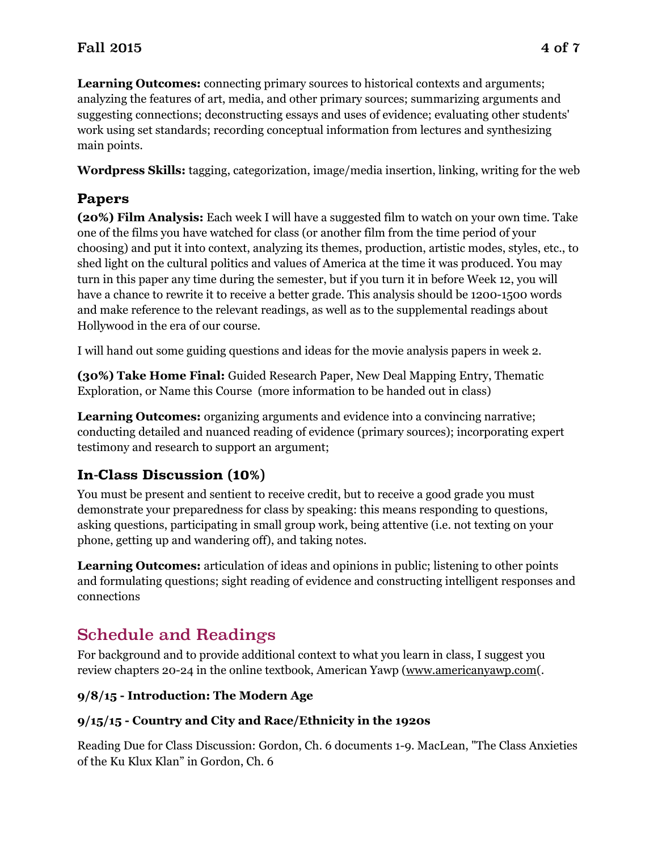## Fall 2015 4 of 7

**Learning Outcomes:** connecting primary sources to historical contexts and arguments; analyzing the features of art, media, and other primary sources; summarizing arguments and suggesting connections; deconstructing essays and uses of evidence; evaluating other students' work using set standards; recording conceptual information from lectures and synthesizing main points.

**Wordpress Skills:** tagging, categorization, image/media insertion, linking, writing for the web

## **Papers**

**(20%) Film Analysis:** Each week I will have a suggested film to watch on your own time. Take one of the films you have watched for class (or another film from the time period of your choosing) and put it into context, analyzing its themes, production, artistic modes, styles, etc., to shed light on the cultural politics and values of America at the time it was produced. You may turn in this paper any time during the semester, but if you turn it in before Week 12, you will have a chance to rewrite it to receive a better grade. This analysis should be 1200-1500 words and make reference to the relevant readings, as well as to the supplemental readings about Hollywood in the era of our course.

I will hand out some guiding questions and ideas for the movie analysis papers in week 2.

**(30%) Take Home Final:** Guided Research Paper, New Deal Mapping Entry, Thematic Exploration, or Name this Course (more information to be handed out in class)

**Learning Outcomes:** organizing arguments and evidence into a convincing narrative; conducting detailed and nuanced reading of evidence (primary sources); incorporating expert testimony and research to support an argument;

## **In-Class Discussion (10%)**

You must be present and sentient to receive credit, but to receive a good grade you must demonstrate your preparedness for class by speaking: this means responding to questions, asking questions, participating in small group work, being attentive (i.e. not texting on your phone, getting up and wandering off), and taking notes.

**Learning Outcomes:** articulation of ideas and opinions in public; listening to other points and formulating questions; sight reading of evidence and constructing intelligent responses and connections

# Schedule and Readings

For background and to provide additional context to what you learn in class, I suggest you review chapters 20-24 in the online textbook, American Yawp ([www.americanyawp.com\(](http://www.americanyawp.com).

## **9/8/15 - Introduction: The Modern Age**

## **9/15/15 - Country and City and Race/Ethnicity in the 1920s**

Reading Due for Class Discussion: Gordon, Ch. 6 documents 1-9. MacLean, "The Class Anxieties of the Ku Klux Klan" in Gordon, Ch. 6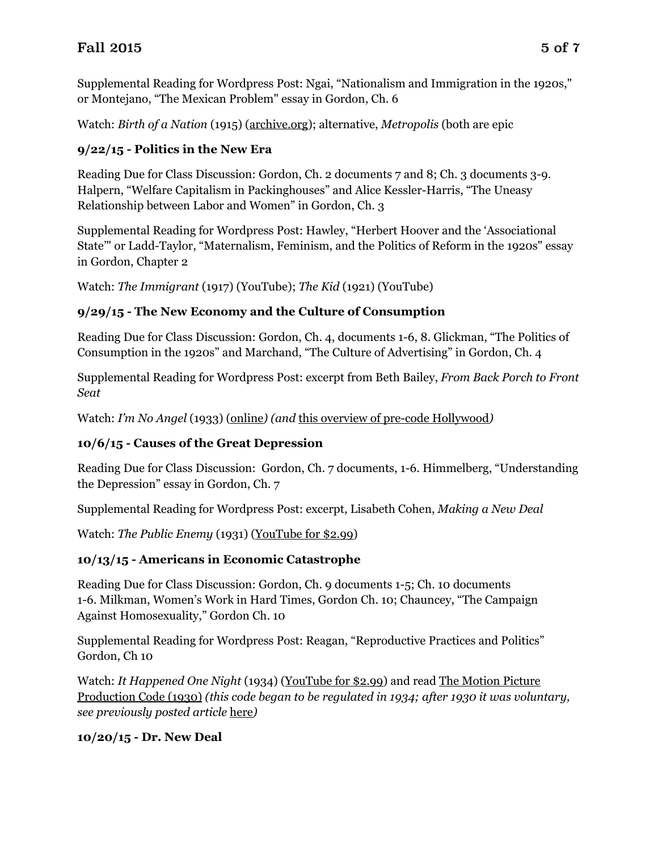Supplemental Reading for Wordpress Post: Ngai, "Nationalism and Immigration in the 1920s," or Montejano, "The Mexican Problem" essay in Gordon, Ch. 6

Watch: *Birth of a Nation* (1915) [\(archive.org\)](https://archive.org/details/dw_griffith_birth_of_a_nation); alternative, *Metropolis* (both are epic

## **9/22/15 - Politics in the New Era**

Reading Due for Class Discussion: Gordon, Ch. 2 documents 7 and 8; Ch. 3 documents 3-9. Halpern, "Welfare Capitalism in Packinghouses" and Alice Kessler-Harris, "The Uneasy Relationship between Labor and Women" in Gordon, Ch. 3

Supplemental Reading for Wordpress Post: Hawley, "Herbert Hoover and the 'Associational State'" or Ladd-Taylor, "Maternalism, Feminism, and the Politics of Reform in the 1920s" essay in Gordon, Chapter 2

Watch: *The Immigrant* (1917) (YouTube); *The Kid* (1921) (YouTube)

## **9/29/15 - The New Economy and the Culture of Consumption**

Reading Due for Class Discussion: Gordon, Ch. 4, documents 1-6, 8. Glickman, "The Politics of Consumption in the 1920s" and Marchand, "The Culture of Advertising" in Gordon, Ch. 4

Supplemental Reading for Wordpress Post: excerpt from Beth Bailey, *From Back Porch to Front Seat*

Watch: *I'm No Angel* (1933) ([online](https://www.google.com/url?sa=t&rct=j&q=&esrc=s&source=video&cd=1&cad=rja&uact=8&ved=0CB0QtwIwAGoVChMI_e-4g7m4xwIVy8-ACh13bwnO&url=http%3A%2F%2Fwww.dailymotion.com%2Fvideo%2Fx21wa43_i-m-no-angel-1933_shortfilms&ei=NjHWVf38H8ufgwT33qXwDA&usg=AFQjCNH_-kI96jrP0UFSGNhwgFWr2_utvw&sig2=mB5-jQn9QiOhfQ2V6isc_w)*) (and* [this overview of pre-code Hollywood](https://www.nytimes.com/books/first/d/doherty-hollywood.html)*)*

## **10/6/15 - Causes of the Great Depression**

Reading Due for Class Discussion: Gordon, Ch. 7 documents, 1-6. Himmelberg, "Understanding the Depression" essay in Gordon, Ch. 7

Supplemental Reading for Wordpress Post: excerpt, Lisabeth Cohen, *Making a New Deal*

Watch: *The Public Enemy* (1931) ([YouTube for \\$2.99\)](https://www.youtube.com/watch?v=pY7ni9euA_0)

## **10/13/15 - Americans in Economic Catastrophe**

Reading Due for Class Discussion: Gordon, Ch. 9 documents 1-5; Ch. 10 documents 1-6. Milkman, Women's Work in Hard Times, Gordon Ch. 10; Chauncey, "The Campaign Against Homosexuality," Gordon Ch. 10

Supplemental Reading for Wordpress Post: Reagan, "Reproductive Practices and Politics" Gordon, Ch 10

Watch: *It Happened One Night* (1934) [\(YouTube for \\$2.99\)](https://www.youtube.com/watch?v=6M_mskKPbgU) and read The Motion Picture Production Code (1930) *[\(this code began to be regulated in 1934; after 1930 it was volun](http://www.asu.edu/courses/fms200s/total-readings/MotionPictureProductionCode.pdf)tary, see previously posted article* [here](https://www.nytimes.com/books/first/d/doherty-hollywood.html)*)*

## **10/20/15 - Dr. New Deal**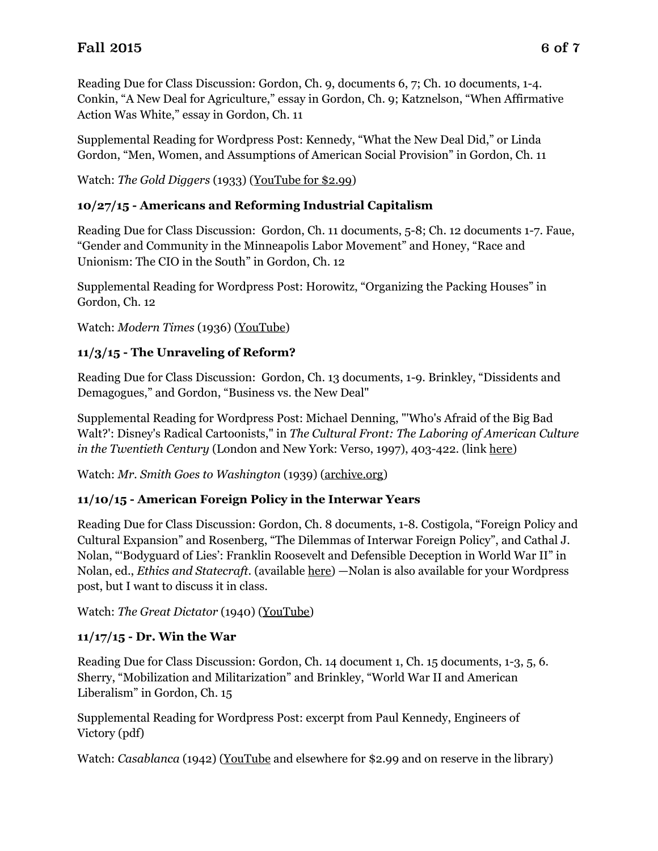Reading Due for Class Discussion: Gordon, Ch. 9, documents 6, 7; Ch. 10 documents, 1-4. Conkin, "A New Deal for Agriculture," essay in Gordon, Ch. 9; Katznelson, "When Affirmative Action Was White," essay in Gordon, Ch. 11

Supplemental Reading for Wordpress Post: Kennedy, "What the New Deal Did," or Linda Gordon, "Men, Women, and Assumptions of American Social Provision" in Gordon, Ch. 11

Watch: *The Gold Diggers* (1933) [\(YouTube for \\$2.99\)](https://www.youtube.com/watch?v=wfDhlu06NVU)

#### **10/27/15 - Americans and Reforming Industrial Capitalism**

Reading Due for Class Discussion: Gordon, Ch. 11 documents, 5-8; Ch. 12 documents 1-7. Faue, "Gender and Community in the Minneapolis Labor Movement" and Honey, "Race and Unionism: The CIO in the South" in Gordon, Ch. 12

Supplemental Reading for Wordpress Post: Horowitz, "Organizing the Packing Houses" in Gordon, Ch. 12

Watch: *Modern Times* (1936) [\(YouTube\)](https://www.youtube.com/watch?v=_jLHVT0-GgM)

#### **11/3/15 - The Unraveling of Reform?**

Reading Due for Class Discussion: Gordon, Ch. 13 documents, 1-9. Brinkley, "Dissidents and Demagogues," and Gordon, "Business vs. the New Deal"

Supplemental Reading for Wordpress Post: Michael Denning, "'Who's Afraid of the Big Bad Walt?': Disney's Radical Cartoonists," in *The Cultural Front: The Laboring of American Culture in the Twentieth Century* (London and New York: Verso, 1997), 403-422. (link [here](https://www.dropbox.com/s/hlh8yitacm5ls7z/denning%20and%20disney%20strike.pdf?dl=0))

Watch: *Mr. Smith Goes to Washington* (1939) [\(archive.org\)](https://archive.org/details/MrSmithGoesToWashington1939480x360)

#### **11/10/15 - American Foreign Policy in the Interwar Years**

Reading Due for Class Discussion: Gordon, Ch. 8 documents, 1-8. Costigola, "Foreign Policy and Cultural Expansion" and Rosenberg, "The Dilemmas of Interwar Foreign Policy", and Cathal J. Nolan, "'Bodyguard of Lies': Franklin Roosevelt and Defensible Deception in World War II" in Nolan, ed., *Ethics and Statecraft*. (available [here](https://www.dropbox.com/s/su8jfii1exgcqmg/nolan.pdf?dl=0)) —Nolan is also available for your Wordpress post, but I want to discuss it in class.

Watch: *The Great Dictator* (1940) [\(YouTube](https://www.youtube.com/watch?v=AfVZR8uT054))

#### **11/17/15 - Dr. Win the War**

Reading Due for Class Discussion: Gordon, Ch. 14 document 1, Ch. 15 documents, 1-3, 5, 6. Sherry, "Mobilization and Militarization" and Brinkley, "World War II and American Liberalism" in Gordon, Ch. 15

Supplemental Reading for Wordpress Post: excerpt from Paul Kennedy, Engineers of Victory (pdf)

Watch: *Casablanca* (1942) [\(YouTube](http://www.youtube.com/movie?v=0KGOB1WIjRs) and elsewhere for \$2.99 and on reserve in the library)